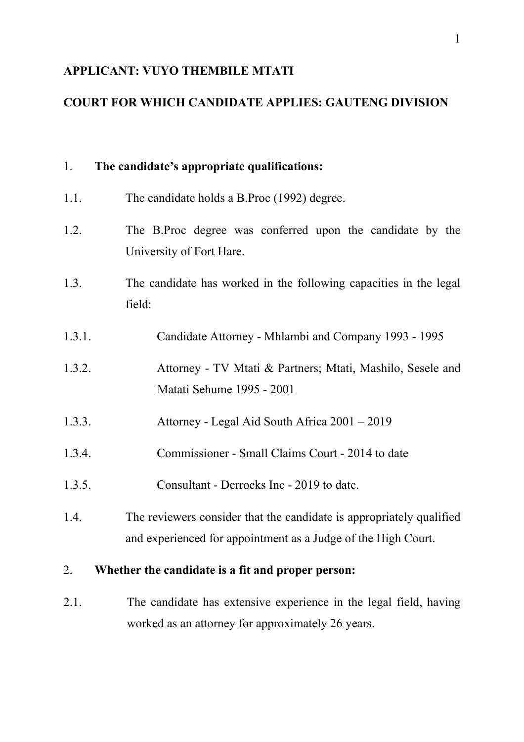# **APPLICANT: VUYO THEMBILE MTATI**

# **COURT FOR WHICH CANDIDATE APPLIES: GAUTENG DIVISION**

| 1.                                                      | The candidate's appropriate qualifications:                                                                                           |
|---------------------------------------------------------|---------------------------------------------------------------------------------------------------------------------------------------|
| 1.1.                                                    | The candidate holds a B.Proc (1992) degree.                                                                                           |
| 1.2.                                                    | The B.Proc degree was conferred upon the candidate by the<br>University of Fort Hare.                                                 |
| 1.3.                                                    | The candidate has worked in the following capacities in the legal<br>field:                                                           |
| 1.3.1.                                                  | Candidate Attorney - Mhlambi and Company 1993 - 1995                                                                                  |
| 1.3.2.                                                  | Attorney - TV Mtati & Partners; Mtati, Mashilo, Sesele and<br>Matati Sehume 1995 - 2001                                               |
| 1.3.3.                                                  | Attorney - Legal Aid South Africa 2001 – 2019                                                                                         |
| 1.3.4.                                                  | Commissioner - Small Claims Court - 2014 to date                                                                                      |
| 1.3.5.                                                  | Consultant - Derrocks Inc - 2019 to date.                                                                                             |
| 1.4.                                                    | The reviewers consider that the candidate is appropriately qualified<br>and experienced for appointment as a Judge of the High Court. |
| Whether the candidate is a fit and proper person:<br>2. |                                                                                                                                       |
| 2.1.                                                    | The candidate has extensive experience in the legal field, having<br>worked as an attorney for approximately 26 years.                |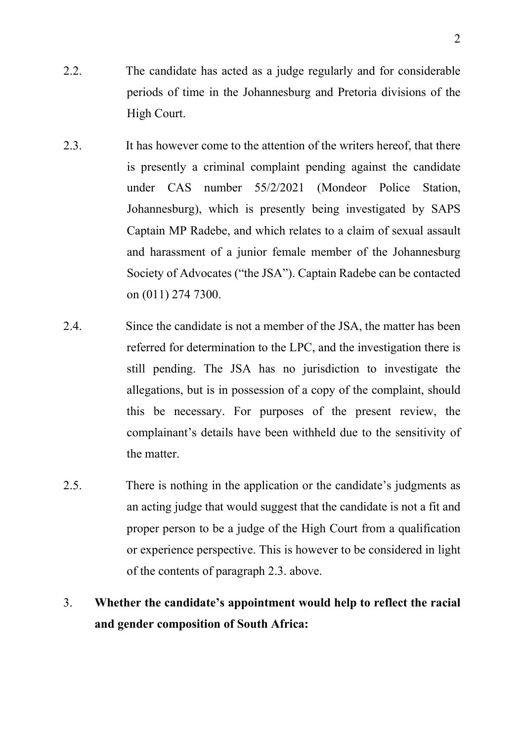- 2.2. The candidate has acted as a judge regularly and for considerable periods of time in the Johannesburg and Pretoria divisions of the High Court.
- 2.3. It has however come to the attention of the writers hereof, that there is presently a criminal complaint pending against the candidate under CAS number 55/2/2021 (Mondeor Police Station, Johannesburg), which is presently being investigated by SAPS Captain MP Radebe, and which relates to a claim of sexual assault and harassment of a junior female member of the Johannesburg Society of Advocates ("the JSA"). Captain Radebe can be contacted on (011) 274 7300.
- 2.4. Since the candidate is not a member of the JSA, the matter has been referred for determination to the LPC, and the investigation there is still pending. The JSA has no jurisdiction to investigate the allegations, but is in possession of a copy of the complaint, should this be necessary. For purposes of the present review, the complainant's details have been withheld due to the sensitivity of the matter.
- 2.5. There is nothing in the application or the candidate's judgments as an acting judge that would suggest that the candidate is not a fit and proper person to be a judge of the High Court from a qualification or experience perspective. This is however to be considered in light of the contents of paragraph 2.3. above.

# 3. **Whether the candidate's appointment would help to reflect the racial and gender composition of South Africa:**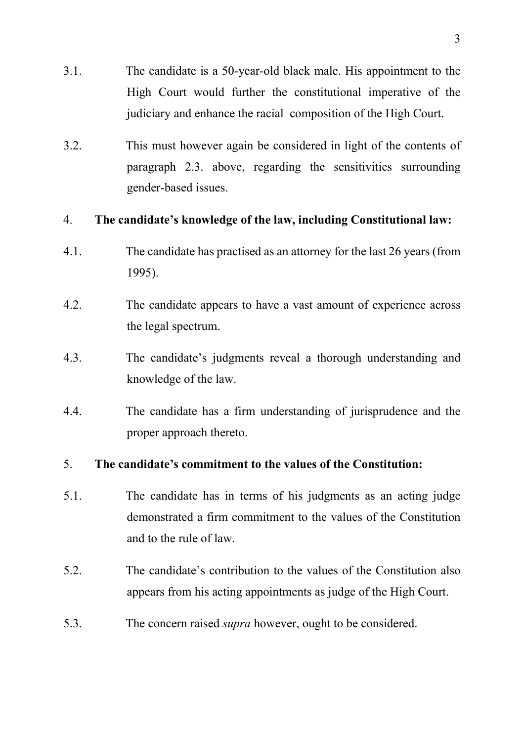- 3.1. The candidate is a 50-year-old black male. His appointment to the High Court would further the constitutional imperative of the judiciary and enhance the racial composition of the High Court.
- 3.2. This must however again be considered in light of the contents of paragraph 2.3. above, regarding the sensitivities surrounding gender-based issues.

## 4. **The candidate's knowledge of the law, including Constitutional law:**

- 4.1. The candidate has practised as an attorney for the last 26 years (from 1995).
- 4.2. The candidate appears to have a vast amount of experience across the legal spectrum.
- 4.3. The candidate's judgments reveal a thorough understanding and knowledge of the law.
- 4.4. The candidate has a firm understanding of jurisprudence and the proper approach thereto.

# 5. **The candidate's commitment to the values of the Constitution:**

- 5.1. The candidate has in terms of his judgments as an acting judge demonstrated a firm commitment to the values of the Constitution and to the rule of law.
- 5.2. The candidate's contribution to the values of the Constitution also appears from his acting appointments as judge of the High Court.
- 5.3. The concern raised *supra* however, ought to be considered.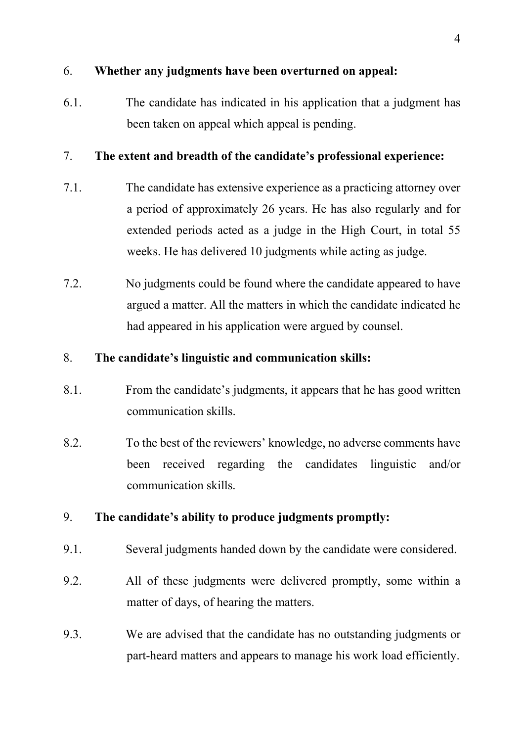# 6. **Whether any judgments have been overturned on appeal:**

6.1. The candidate has indicated in his application that a judgment has been taken on appeal which appeal is pending.

# 7. **The extent and breadth of the candidate's professional experience:**

- 7.1. The candidate has extensive experience as a practicing attorney over a period of approximately 26 years. He has also regularly and for extended periods acted as a judge in the High Court, in total 55 weeks. He has delivered 10 judgments while acting as judge.
- 7.2. No judgments could be found where the candidate appeared to have argued a matter. All the matters in which the candidate indicated he had appeared in his application were argued by counsel.

## 8. **The candidate's linguistic and communication skills:**

- 8.1. From the candidate's judgments, it appears that he has good written communication skills.
- 8.2. To the best of the reviewers' knowledge, no adverse comments have been received regarding the candidates linguistic and/or communication skills.

# 9. **The candidate's ability to produce judgments promptly:**

- 9.1. Several judgments handed down by the candidate were considered.
- 9.2. All of these judgments were delivered promptly, some within a matter of days, of hearing the matters.
- 9.3. We are advised that the candidate has no outstanding judgments or part-heard matters and appears to manage his work load efficiently.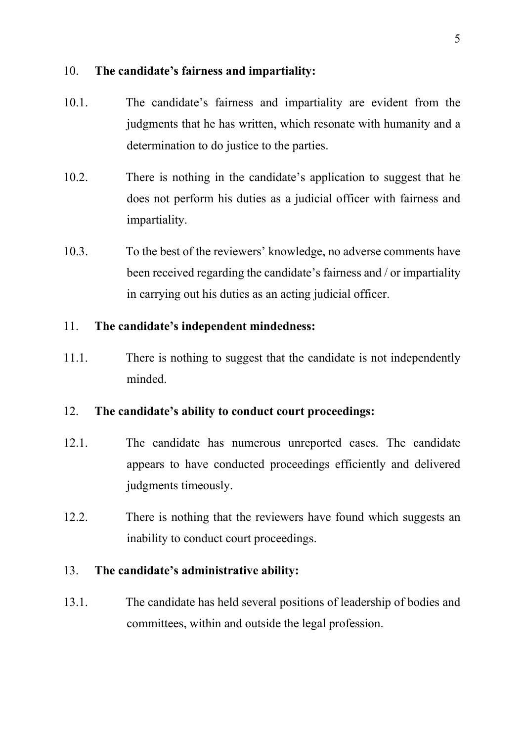#### 10. **The candidate's fairness and impartiality:**

- 10.1. The candidate's fairness and impartiality are evident from the judgments that he has written, which resonate with humanity and a determination to do justice to the parties.
- 10.2. There is nothing in the candidate's application to suggest that he does not perform his duties as a judicial officer with fairness and impartiality.
- 10.3. To the best of the reviewers' knowledge, no adverse comments have been received regarding the candidate's fairness and / or impartiality in carrying out his duties as an acting judicial officer.

## 11. **The candidate's independent mindedness:**

11.1. There is nothing to suggest that the candidate is not independently minded.

# 12. **The candidate's ability to conduct court proceedings:**

- 12.1. The candidate has numerous unreported cases. The candidate appears to have conducted proceedings efficiently and delivered judgments timeously.
- 12.2. There is nothing that the reviewers have found which suggests an inability to conduct court proceedings.

#### 13. **The candidate's administrative ability:**

13.1. The candidate has held several positions of leadership of bodies and committees, within and outside the legal profession.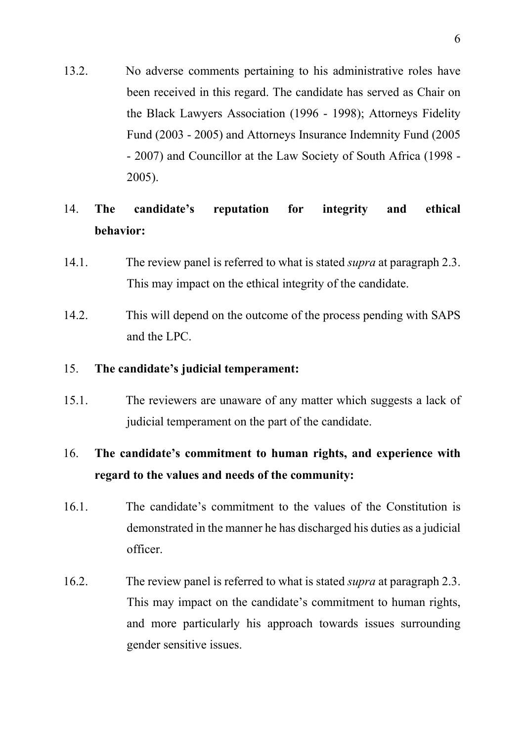13.2. No adverse comments pertaining to his administrative roles have been received in this regard. The candidate has served as Chair on the Black Lawyers Association (1996 - 1998); Attorneys Fidelity Fund (2003 - 2005) and Attorneys Insurance Indemnity Fund (2005 - 2007) and Councillor at the Law Society of South Africa (1998 - 2005).

# 14. **The candidate's reputation for integrity and ethical behavior:**

- 14.1. The review panel is referred to what is stated *supra* at paragraph 2.3. This may impact on the ethical integrity of the candidate.
- 14.2. This will depend on the outcome of the process pending with SAPS and the LPC.

#### 15. **The candidate's judicial temperament:**

15.1. The reviewers are unaware of any matter which suggests a lack of judicial temperament on the part of the candidate.

# 16. **The candidate's commitment to human rights, and experience with regard to the values and needs of the community:**

- 16.1. The candidate's commitment to the values of the Constitution is demonstrated in the manner he has discharged his duties as a judicial officer.
- 16.2. The review panel is referred to what is stated *supra* at paragraph 2.3. This may impact on the candidate's commitment to human rights, and more particularly his approach towards issues surrounding gender sensitive issues.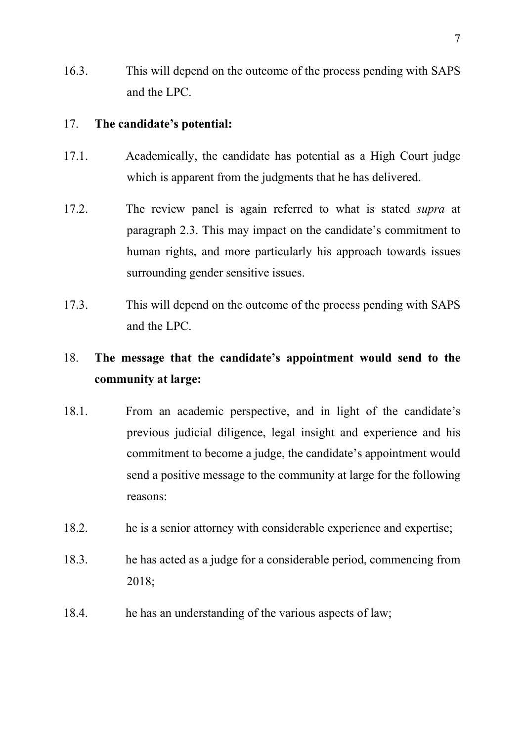16.3. This will depend on the outcome of the process pending with SAPS and the LPC.

#### 17. **The candidate's potential:**

- 17.1. Academically, the candidate has potential as a High Court judge which is apparent from the judgments that he has delivered.
- 17.2. The review panel is again referred to what is stated *supra* at paragraph 2.3. This may impact on the candidate's commitment to human rights, and more particularly his approach towards issues surrounding gender sensitive issues.
- 17.3. This will depend on the outcome of the process pending with SAPS and the LPC.

# 18. **The message that the candidate's appointment would send to the community at large:**

- 18.1. From an academic perspective, and in light of the candidate's previous judicial diligence, legal insight and experience and his commitment to become a judge, the candidate's appointment would send a positive message to the community at large for the following reasons:
- 18.2. he is a senior attorney with considerable experience and expertise;
- 18.3. he has acted as a judge for a considerable period, commencing from 2018;
- 18.4. he has an understanding of the various aspects of law;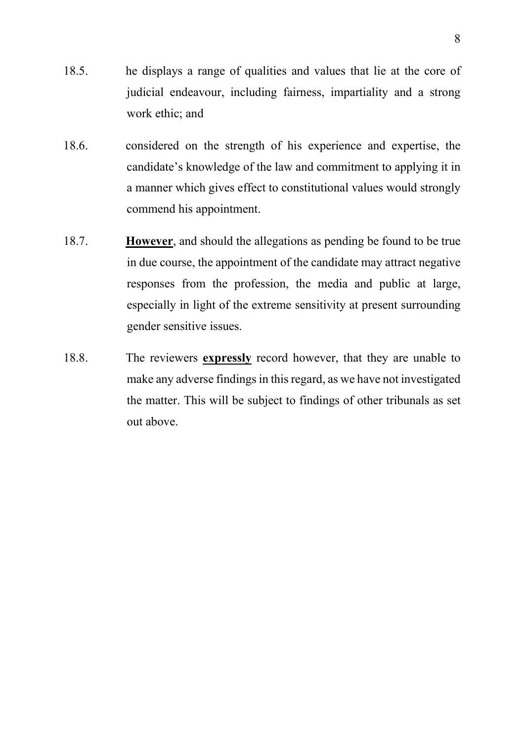- 18.5. he displays a range of qualities and values that lie at the core of judicial endeavour, including fairness, impartiality and a strong work ethic; and
- 18.6. considered on the strength of his experience and expertise, the candidate's knowledge of the law and commitment to applying it in a manner which gives effect to constitutional values would strongly commend his appointment.
- 18.7. **However**, and should the allegations as pending be found to be true in due course, the appointment of the candidate may attract negative responses from the profession, the media and public at large, especially in light of the extreme sensitivity at present surrounding gender sensitive issues.
- 18.8. The reviewers **expressly** record however, that they are unable to make any adverse findings in this regard, as we have not investigated the matter. This will be subject to findings of other tribunals as set out above.